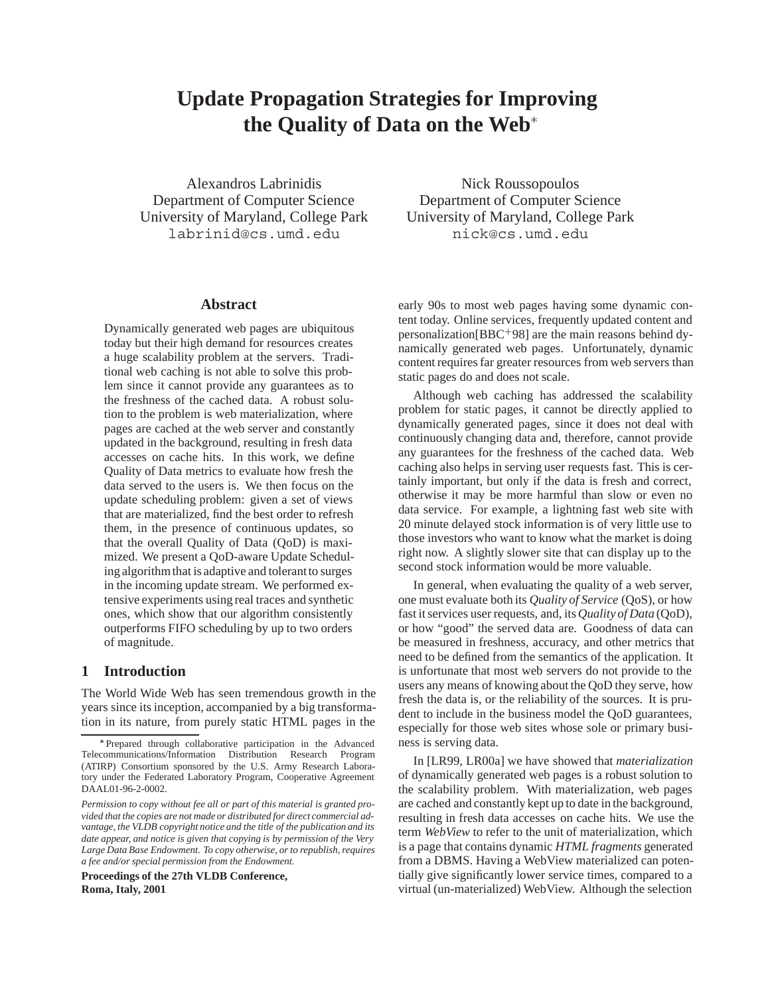# **Update Propagation Strategies for Improving the Quality of Data on the Web**

Alexandros Labrinidis Department of Computer Science University of Maryland, College Park labrinid@cs.umd.edu

## **Abstract**

Dynamically generated web pages are ubiquitous today but their high demand for resources creates a huge scalability problem at the servers. Traditional web caching is not able to solve this problem since it cannot provide any guarantees as to the freshness of the cached data. A robust solution to the problem is web materialization, where pages are cached at the web server and constantly updated in the background, resulting in fresh data accesses on cache hits. In this work, we define Quality of Data metrics to evaluate how fresh the data served to the users is. We then focus on the update scheduling problem: given a set of views that are materialized, find the best order to refresh them, in the presence of continuous updates, so that the overall Quality of Data (QoD) is maximized. We present a QoD-aware Update Scheduling algorithm that is adaptive and tolerant to surges in the incoming update stream. We performed extensive experiments using real traces and synthetic ones, which show that our algorithm consistently outperforms FIFO scheduling by up to two orders of magnitude.

# **1 Introduction**

The World Wide Web has seen tremendous growth in the years since its inception, accompanied by a big transformation in its nature, from purely static HTML pages in the

**Proceedings of the 27th VLDB Conference, Roma, Italy, 2001**

Nick Roussopoulos Department of Computer Science University of Maryland, College Park nick@cs.umd.edu

early 90s to most web pages having some dynamic content today. Online services, frequently updated content and personalization[BBC<sup>+</sup> 98] are the main reasons behind dynamically generated web pages. Unfortunately, dynamic content requires far greater resources from web servers than static pages do and does not scale.

Although web caching has addressed the scalability problem for static pages, it cannot be directly applied to dynamically generated pages, since it does not deal with continuously changing data and, therefore, cannot provide any guarantees for the freshness of the cached data. Web caching also helps in serving user requests fast. This is certainly important, but only if the data is fresh and correct, otherwise it may be more harmful than slow or even no data service. For example, a lightning fast web site with 20 minute delayed stock information is of very little use to those investors who want to know what the market is doing right now. A slightly slower site that can display up to the second stock information would be more valuable.

In general, when evaluating the quality of a web server, one must evaluate both its *Quality of Service* (QoS), or how fast it services user requests, and, its*Quality of Data* (QoD), or how "good" the served data are. Goodness of data can be measured in freshness, accuracy, and other metrics that need to be defined from the semantics of the application. It is unfortunate that most web servers do not provide to the users any means of knowing about the QoD they serve, how fresh the data is, or the reliability of the sources. It is prudent to include in the business model the QoD guarantees, especially for those web sites whose sole or primary business is serving data.

In [LR99, LR00a] we have showed that *materialization* of dynamically generated web pages is a robust solution to the scalability problem. With materialization, web pages are cached and constantly kept up to date in the background, resulting in fresh data accesses on cache hits. We use the term *WebView* to refer to the unit of materialization, which is a page that contains dynamic *HTML fragments* generated from a DBMS. Having a WebView materialized can potentially give significantly lower service times, compared to a virtual (un-materialized) WebView. Although the selection

Prepared through collaborative participation in the Advanced Telecommunications/Information Distribution Research Program (ATIRP) Consortium sponsored by the U.S. Army Research Laboratory under the Federated Laboratory Program, Cooperative Agreement DAAL01-96-2-0002.

*Permission to copy without fee all or part of this material is granted provided that the copies are not made or distributed for direct commercial advantage, the VLDB copyright notice and the title of the publication and its date appear, and notice is given that copying is by permission of the Very Large Data Base Endowment. To copy otherwise, or to republish, requires a fee and/or special permission from the Endowment.*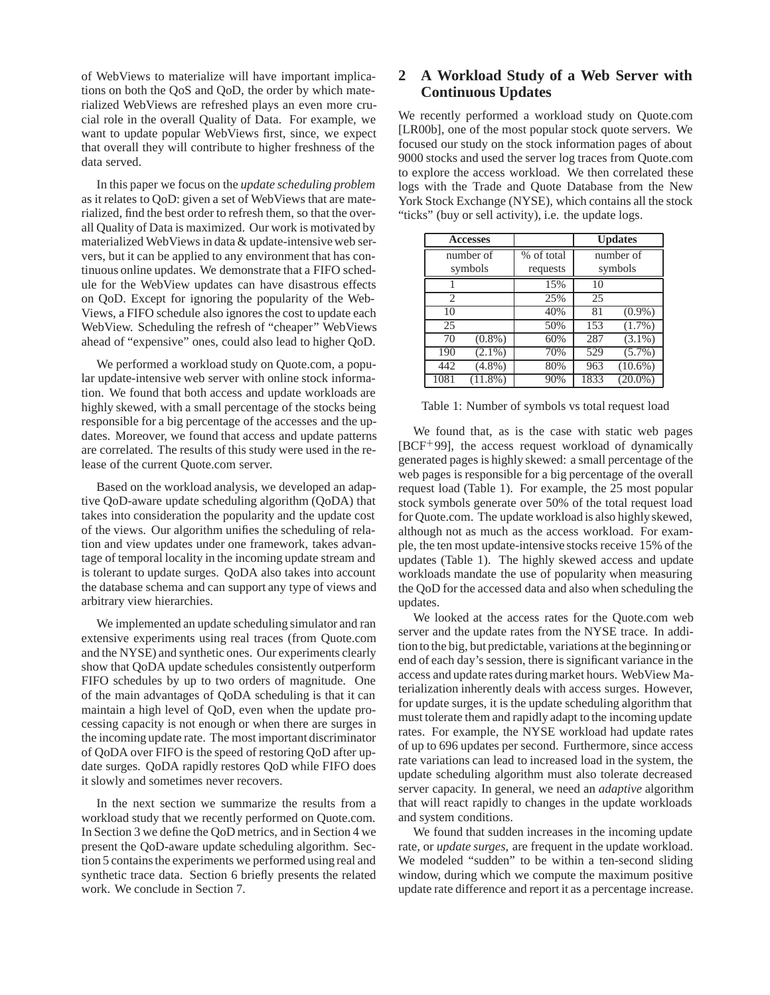of WebViews to materialize will have important implications on both the QoS and QoD, the order by which materialized WebViews are refreshed plays an even more crucial role in the overall Quality of Data. For example, we want to update popular WebViews first, since, we expect that overall they will contribute to higher freshness of the data served.

In this paper we focus on the *update scheduling problem* as it relates to QoD: given a set of WebViews that are materialized, find the best order to refresh them, so that the overall Quality of Data is maximized. Our work is motivated by materialized WebViews in data & update-intensive web servers, but it can be applied to any environment that has continuous online updates. We demonstrate that a FIFO schedule for the WebView updates can have disastrous effects on QoD. Except for ignoring the popularity of the Web-Views, a FIFO schedule also ignores the cost to update each WebView. Scheduling the refresh of "cheaper" WebViews ahead of "expensive" ones, could also lead to higher QoD.

We performed a workload study on Quote.com, a popular update-intensive web server with online stock information. We found that both access and update workloads are highly skewed, with a small percentage of the stocks being responsible for a big percentage of the accesses and the updates. Moreover, we found that access and update patterns are correlated. The results of this study were used in the release of the current Quote.com server.

Based on the workload analysis, we developed an adaptive QoD-aware update scheduling algorithm (QoDA) that takes into consideration the popularity and the update cost of the views. Our algorithm unifies the scheduling of relation and view updates under one framework, takes advantage of temporal locality in the incoming update stream and is tolerant to update surges. QoDA also takes into account the database schema and can support any type of views and arbitrary view hierarchies.

We implemented an update scheduling simulator and ran extensive experiments using real traces (from Quote.com and the NYSE) and synthetic ones. Our experiments clearly show that QoDA update schedules consistently outperform FIFO schedules by up to two orders of magnitude. One of the main advantages of QoDA scheduling is that it can maintain a high level of QoD, even when the update processing capacity is not enough or when there are surges in the incoming update rate. The most important discriminator of QoDA over FIFO is the speed of restoring QoD after update surges. QoDA rapidly restores QoD while FIFO does it slowly and sometimes never recovers.

In the next section we summarize the results from a workload study that we recently performed on Quote.com. In Section 3 we define the QoD metrics, and in Section 4 we present the QoD-aware update scheduling algorithm. Section 5 contains the experiments we performed using real and synthetic trace data. Section 6 briefly presents the related work. We conclude in Section 7.

# **2 A Workload Study of a Web Server with Continuous Updates**

We recently performed a workload study on Quote.com [LR00b], one of the most popular stock quote servers. We focused our study on the stock information pages of about 9000 stocks and used the server log traces from Quote.com to explore the access workload. We then correlated these logs with the Trade and Quote Database from the New York Stock Exchange (NYSE), which contains all the stock "ticks" (buy or sell activity), i.e. the update logs.

| <b>Accesses</b> |            |            |           | <b>Updates</b> |
|-----------------|------------|------------|-----------|----------------|
| number of       |            | % of total | number of |                |
| symbols         |            | requests   | symbols   |                |
|                 |            | 15%        | 10        |                |
| $\mathfrak{D}$  |            | 25%        | 25        |                |
| 10              |            | 40%        | 81        | $(0.9\%)$      |
| $\overline{25}$ |            | 50%        | 153       | $(1.7\%)$      |
| 70              | $(0.8\%)$  | 60%        | 287       | $(3.1\%)$      |
| 190             | $(2.1\%)$  | 70%        | 529       | $(5.7\%)$      |
| 442             | $(4.8\%)$  | 80%        | 963       | $(10.6\%)$     |
| 1081            | $(11.8\%)$ | 90%        | 1833      | $(20.0\%)$     |

|  |  |  | Table 1: Number of symbols vs total request load |  |
|--|--|--|--------------------------------------------------|--|
|--|--|--|--------------------------------------------------|--|

We found that, as is the case with static web pages [BCF<sup>+</sup> 99], the access request workload of dynamically generated pages is highly skewed: a small percentage of the web pages is responsible for a big percentage of the overall request load (Table 1). For example, the 25 most popular stock symbols generate over 50% of the total request load for Quote.com. The update workload is also highlyskewed, although not as much as the access workload. For example, the ten most update-intensive stocks receive 15% of the updates (Table 1). The highly skewed access and update workloads mandate the use of popularity when measuring the QoD for the accessed data and also when scheduling the updates.

We looked at the access rates for the Quote.com web server and the update rates from the NYSE trace. In addition to the big, but predictable, variations at the beginningor end of each day's session, there is significant variance in the access and update rates during market hours. WebView Materialization inherently deals with access surges. However, for update surges, it is the update scheduling algorithm that must tolerate them and rapidly adapt to the incoming update rates. For example, the NYSE workload had update rates of up to 696 updates per second. Furthermore, since access rate variations can lead to increased load in the system, the update scheduling algorithm must also tolerate decreased server capacity. In general, we need an *adaptive* algorithm that will react rapidly to changes in the update workloads and system conditions.

We found that sudden increases in the incoming update rate, or *update surges*, are frequent in the update workload. We modeled "sudden" to be within a ten-second sliding window, during which we compute the maximum positive update rate difference and report it as a percentage increase.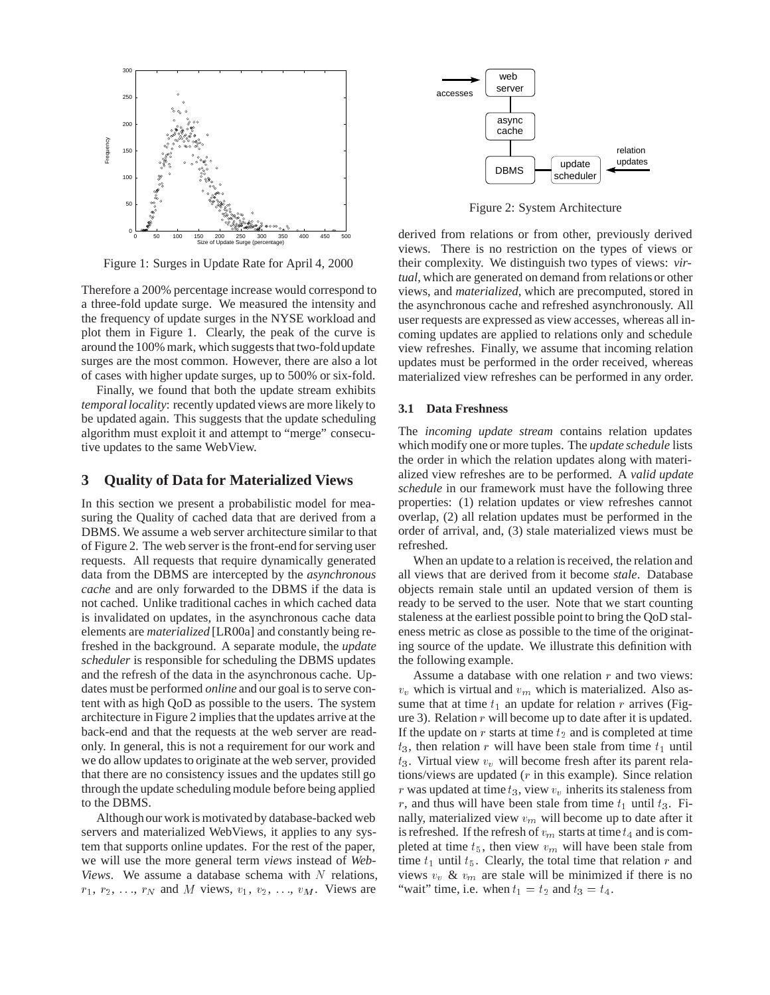

Figure 1: Surges in Update Rate for April 4, 2000

Therefore a 200% percentage increase would correspond to a three-fold update surge. We measured the intensity and the frequency of update surges in the NYSE workload and plot them in Figure 1. Clearly, the peak of the curve is around the 100% mark, which suggests that two-foldupdate surges are the most common. However, there are also a lot of cases with higher update surges, up to 500% or six-fold.

Finally, we found that both the update stream exhibits *temporal locality*: recently updated views are more likely to be updated again. This suggests that the update scheduling algorithm must exploit it and attempt to "merge" consecutive updates to the same WebView.

# **3 Quality of Data for Materialized Views**

In this section we present a probabilistic model for measuring the Quality of cached data that are derived from a DBMS. We assume a web server architecture similar to that of Figure 2. The web server is the front-end for serving user requests. All requests that require dynamically generated data from the DBMS are intercepted by the *asynchronous cache* and are only forwarded to the DBMS if the data is not cached. Unlike traditional caches in which cached data is invalidated on updates, in the asynchronous cache data elements are *materialized* [LR00a] and constantly being refreshed in the background. A separate module, the *update scheduler* is responsible for scheduling the DBMS updates and the refresh of the data in the asynchronous cache. Updates must be performed *online* and our goal is to serve content with as high QoD as possible to the users. The system architecture in Figure 2 implies that the updates arrive at the back-end and that the requests at the web server are readonly. In general, this is not a requirement for our work and we do allow updates to originate at the web server, provided that there are no consistency issues and the updates still go through the update scheduling module before being applied to the DBMS.

Although our work is motivated by database-backed web servers and materialized WebViews, it applies to any system that supports online updates. For the rest of the paper, we will use the more general term *views* instead of *Web-Views.* We assume a database schema with  $N$  relations,  $r_1, r_2, \ldots, r_N$  and M views,  $v_1, v_2, \ldots, v_M$ . Views are



Figure 2: System Architecture

derived from relations or from other, previously derived views. There is no restriction on the types of views or their complexity. We distinguish two types of views: *virtual*, which are generated on demand from relations or other views, and *materialized*, which are precomputed, stored in the asynchronous cache and refreshed asynchronously. All user requests are expressed as view accesses, whereas all incoming updates are applied to relations only and schedule view refreshes. Finally, we assume that incoming relation updates must be performed in the order received, whereas materialized view refreshes can be performed in any order.

### **3.1 Data Freshness**

The *incoming update stream* contains relation updates which modify one or more tuples. The *update schedule* lists the order in which the relation updates along with materialized view refreshes are to be performed. A *valid update schedule* in our framework must have the following three properties: (1) relation updates or view refreshes cannot overlap, (2) all relation updates must be performed in the order of arrival, and, (3) stale materialized views must be refreshed.

When an update to a relation is received, the relation and all views that are derived from it become *stale*. Database objects remain stale until an updated version of them is ready to be served to the user. Note that we start counting staleness at the earliest possible point to bring the QoD staleness metric as close as possible to the time of the originating source of the update. We illustrate this definition with the following example.

Assume a database with one relation  $r$  and two views:  $v<sub>v</sub>$  which is virtual and  $v<sub>m</sub>$  which is materialized. Also assume that at time  $t_1$  an update for relation r arrives (Figure 3). Relation  $r$  will become up to date after it is updated. If the update on  $r$  starts at time  $t_2$  and is completed at time  $t_3$ , then relation r will have been stale from time  $t_1$  until  $t_3$ . Virtual view  $v_y$  will become fresh after its parent relations/views are updated (<sup>r</sup> in this example). Since relation r was updated at time  $t_3$ , view  $v_y$  inherits its staleness from r, and thus will have been stale from time  $t_1$  until  $t_3$ . Finally, materialized view  $v_m$  will become up to date after it is refreshed. If the refresh of  $v_m$  starts at time  $t_4$  and is completed at time  $t_5$ , then view  $v_m$  will have been stale from time  $t_1$  until  $t_5$ . Clearly, the total time that relation r and views  $v_v \& v_m$  are stale will be minimized if there is no "wait" time, i.e. when  $t_1 = t_2$  and  $t_3 = t_4$ .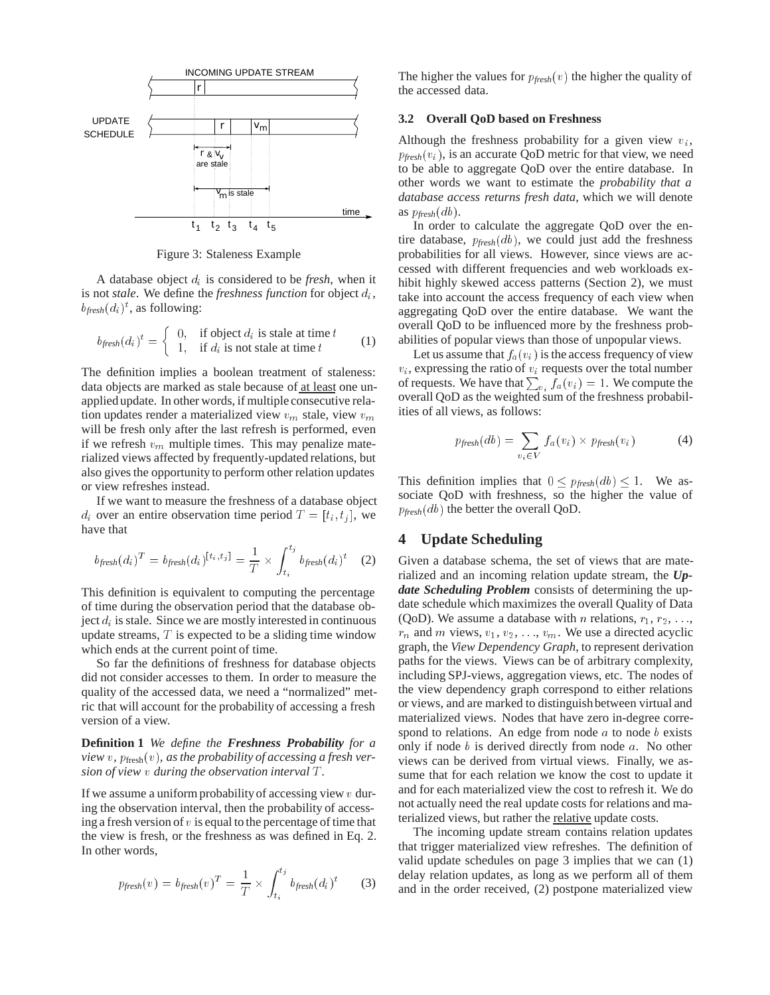

Figure 3: Staleness Example

A database object  $d_i$  is considered to be *fresh*, when it is not *stale*. We define the *freshness function* for object  $d_i$ ,  $b_{\text{fresh}}(d_i)^t$ , as following:

$$
b_{\text{fresh}}(d_i)^t = \begin{cases} 0, & \text{if object } d_i \text{ is stale at time } t \\ 1, & \text{if } d_i \text{ is not stale at time } t \end{cases} \tag{1}
$$

The definition implies a boolean treatment of staleness: data objects are marked as stale because of at least one unapplied update. In other words, if multiple consecutive relation updates render a materialized view  $v_m$  stale, view  $v_m$ will be fresh only after the last refresh is performed, even if we refresh  $v_m$  multiple times. This may penalize materialized views affected by frequently-updated relations, but also gives the opportunity to perform other relation updates or view refreshes instead.

If we want to measure the freshness of a database object  $d_i$  over an entire observation time period  $T = [t_i, t_j]$ , we have that

$$
b_{\text{fresh}}(d_i)^T = b_{\text{fresh}}(d_i)^{[t_i, t_j]} = \frac{1}{T} \times \int_{t_i}^{t_j} b_{\text{fresh}}(d_i)^t \quad (2)
$$

This definition is equivalent to computing the percentage of time during the observation period that the database object  $d_i$  is stale. Since we are mostly interested in continuous update streams,  $T$  is expected to be a sliding time window which ends at the current point of time.

So far the definitions of freshness for database objects did not consider accesses to them. In order to measure the quality of the accessed data, we need a "normalized" metric that will account for the probability of accessing a fresh version of a view.

**Definition 1** *We define the Freshness Probability for a view* v,  $p_{\text{fresh}}(v)$ , as the probability of accessing a fresh ver*sion of view* <sup>v</sup> *during the observation interval* <sup>T</sup> *.*

If we assume a uniform probability of accessing view  $v$  during the observation interval, then the probability of accessing a fresh version of  $v$  is equal to the percentage of time that the view is fresh, or the freshness as was defined in Eq. 2. In other words,

$$
p_{\text{fresh}}(v) = b_{\text{fresh}}(v)^T = \frac{1}{T} \times \int_{t_i}^{t_j} b_{\text{fresh}}(d_i)^t \qquad (3)
$$

The higher the values for  $p_{\text{fresh}}(v)$  the higher the quality of the accessed data.

## **3.2 Overall QoD based on Freshness**

Although the freshness probability for a given view  $v_i$ ,  $p_{\text{fresh}}(v_i)$ , is an accurate QoD metric for that view, we need to be able to aggregate QoD over the entire database. In other words we want to estimate the *probability that a database access returns fresh data*, which we will denote as  $p_{\text{fresh}}(db)$ .

In order to calculate the aggregate QoD over the entire database, <sup>p</sup>*fresh*(db), we could just add the freshness probabilities for all views. However, since views are accessed with different frequencies and web workloads exhibit highly skewed access patterns (Section 2), we must take into account the access frequency of each view when aggregating QoD over the entire database. We want the overall QoD to be influenced more by the freshness probabilities of popular views than those of unpopular views.

Let us assume that  $f_a(v_i)$  is the access frequency of view  $v_i$ , expressing the ratio of  $v_i$  requests over the total number of requests. We have that  $\sum_{v_i} f_a(v_i)=1$ . We compute the overall QoD as the weighted sum of the freshness probabilities of all views, as follows:

$$
p_{\text{fresh}}(db) = \sum_{v_i \in V} f_a(v_i) \times p_{\text{fresh}}(v_i) \tag{4}
$$

This definition implies that  $0 \leq p_{\text{fresh}}(db) \leq 1$ . We associate QoD with freshness, so the higher the value of  $p_{\text{fresh}}(db)$  the better the overall QoD.

# **4 Update Scheduling**

Given a database schema, the set of views that are materialized and an incoming relation update stream, the *Update Scheduling Problem* consists of determining the update schedule which maximizes the overall Quality of Data (QoD). We assume a database with *n* relations,  $r_1, r_2, \ldots$ ,  $r_n$  and m views,  $v_1, v_2, \ldots, v_m$ . We use a directed acyclic graph, the *View Dependency Graph*, to represent derivation paths for the views. Views can be of arbitrary complexity, including SPJ-views, aggregation views, etc. The nodes of the view dependency graph correspond to either relations or views, and are marked to distinguishbetween virtual and materialized views. Nodes that have zero in-degree correspond to relations. An edge from node  $a$  to node  $b$  exists only if node  $b$  is derived directly from node  $a$ . No other views can be derived from virtual views. Finally, we assume that for each relation we know the cost to update it and for each materialized view the cost to refresh it. We do not actually need the real update costs for relations and materialized views, but rather the relative update costs.

The incoming update stream contains relation updates that trigger materialized view refreshes. The definition of valid update schedules on page 3 implies that we can (1) delay relation updates, as long as we perform all of them and in the order received, (2) postpone materialized view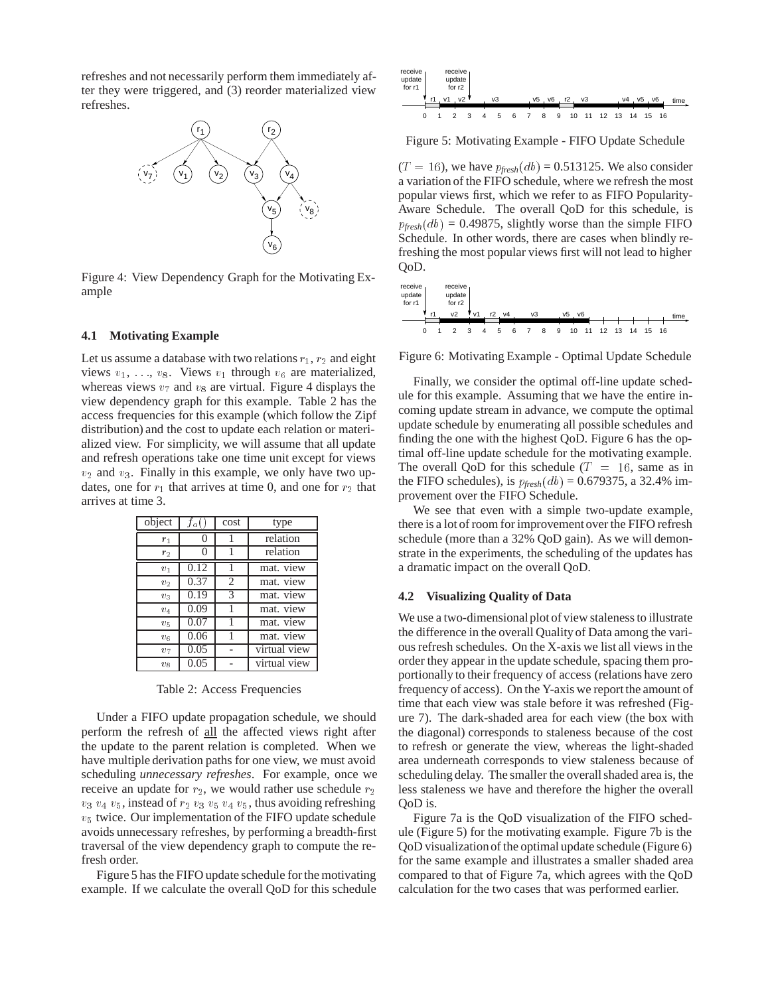refreshes and not necessarily perform them immediately after they were triggered, and (3) reorder materialized view refreshes.



Figure 4: View Dependency Graph for the Motivating Example

#### **4.1 Motivating Example**

Let us assume a database with two relations  $r_1, r_2$  and eight views  $v_1, \ldots, v_8$ . Views  $v_1$  through  $v_6$  are materialized, whereas views  $v_7$  and  $v_8$  are virtual. Figure 4 displays the view dependency graph for this example. Table 2 has the access frequencies for this example (which follow the Zipf distribution) and the cost to update each relation or materialized view. For simplicity, we will assume that all update and refresh operations take one time unit except for views  $v_2$  and  $v_3$ . Finally in this example, we only have two updates, one for  $r_1$  that arrives at time 0, and one for  $r_2$  that arrives at time 3.

| object         | $f_a$ (  | cost           | type         |
|----------------|----------|----------------|--------------|
| $r_1$          | $\theta$ |                | relation     |
| $r_2$          | 0        |                | relation     |
| v <sub>1</sub> | 0.12     |                | mat. view    |
| v <sub>2</sub> | 0.37     | $\overline{c}$ | mat. view    |
| $v_{3}$        | 0.19     | $\mathcal{R}$  | mat. view    |
| v <sub>4</sub> | 0.09     |                | mat. view    |
| $v_{5}$        | 0.07     |                | mat. view    |
| v <sub>6</sub> | 0.06     |                | mat. view    |
| $v_7$          | 0.05     |                | virtual view |
| $v_{\rm 8}$    | 0.05     |                | virtual view |

Table 2: Access Frequencies

Under a FIFO update propagation schedule, we should perform the refresh of all the affected views right after the update to the parent relation is completed. When we have multiple derivation paths for one view, we must avoid scheduling *unnecessary refreshes*. For example, once we receive an update for  $r_2$ , we would rather use schedule  $r_2$  $v_3$   $v_4$   $v_5$ , instead of  $r_2$   $v_3$   $v_5$   $v_4$   $v_5$ , thus avoiding refreshing  $v<sub>5</sub>$  twice. Our implementation of the FIFO update schedule avoids unnecessary refreshes, by performing a breadth-first traversal of the view dependency graph to compute the refresh order.

Figure 5 has the FIFO update schedule for the motivating example. If we calculate the overall QoD for this schedule



Figure 5: Motivating Example - FIFO Update Schedule

 $(T = 16)$ , we have  $p_{\text{fresh}}(db) = 0.513125$ . We also consider a variation of the FIFO schedule, where we refresh the most popular views first, which we refer to as FIFO Popularity-Aware Schedule. The overall QoD for this schedule, is  $p_{\text{fresh}}(db) = 0.49875$ , slightly worse than the simple FIFO Schedule. In other words, there are cases when blindly refreshing the most popular views first will not lead to higher QoD.



Figure 6: Motivating Example - Optimal Update Schedule

Finally, we consider the optimal off-line update schedule for this example. Assuming that we have the entire incoming update stream in advance, we compute the optimal update schedule by enumerating all possible schedules and finding the one with the highest QoD. Figure 6 has the optimal off-line update schedule for the motivating example. The overall QoD for this schedule  $(T = 16)$ , same as in the FIFO schedules), is  $p_{\text{fresh}}(db) = 0.679375$ , a 32.4% improvement over the FIFO Schedule.

We see that even with a simple two-update example, there is a lot of room for improvement over the FIFO refresh schedule (more than a 32% QoD gain). As we will demonstrate in the experiments, the scheduling of the updates has a dramatic impact on the overall QoD.

### **4.2 Visualizing Quality of Data**

We use a two-dimensional plot of view staleness to illustrate the difference in the overall Quality of Data among the various refresh schedules. On the X-axis we list all views in the order they appear in the update schedule, spacing them proportionally to their frequency of access (relations have zero frequency of access). On the Y-axis we report the amount of time that each view was stale before it was refreshed (Figure 7). The dark-shaded area for each view (the box with the diagonal) corresponds to staleness because of the cost to refresh or generate the view, whereas the light-shaded area underneath corresponds to view staleness because of scheduling delay. The smaller the overall shaded area is, the less staleness we have and therefore the higher the overall QoD is.

Figure 7a is the QoD visualization of the FIFO schedule (Figure 5) for the motivating example. Figure 7b is the QoD visualizationof the optimal update schedule (Figure 6) for the same example and illustrates a smaller shaded area compared to that of Figure 7a, which agrees with the QoD calculation for the two cases that was performed earlier.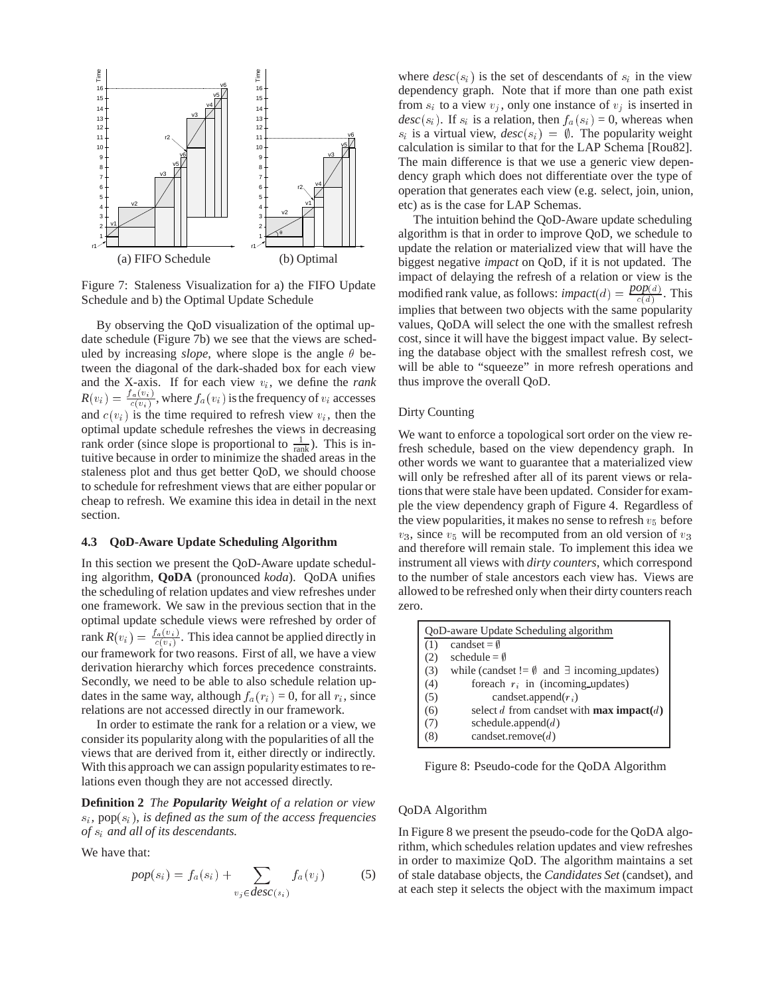

Figure 7: Staleness Visualization for a) the FIFO Update Schedule and b) the Optimal Update Schedule

By observing the QoD visualization of the optimal update schedule (Figure 7b) we see that the views are scheduled by increasing *slope*, where slope is the angle  $\theta$  between the diagonal of the dark-shaded box for each view and the X-axis. If for each view  $v_i$ , we define the *rank*  $R(v_i) = \frac{f_a(v_i)}{c(v_i)}$ , where  $f_a(v_i)$  is the frequency of  $v_i$  accesses and  $c(v_i)$  is the time required to refresh view  $v_i$ , then the optimal update schedule refreshes the views in decreasing rank order (since slope is proportional to  $\frac{1}{\text{rank}}$ ). This is intuitive because in order to minimize the shaded areas in the staleness plot and thus get better QoD, we should choose to schedule for refreshment views that are either popular or cheap to refresh. We examine this idea in detail in the next section.

# **4.3 QoD-Aware Update Scheduling Algorithm**

In this section we present the QoD-Aware update scheduling algorithm, **QoDA** (pronounced *koda*). QoDA unifies the scheduling of relation updates and view refreshes under one framework. We saw in the previous section that in the optimal update schedule views were refreshed by order of rank  $R(v_i) = \frac{I_a(v_i)}{c(v_i)}$ . This idea cannot be applied directly in our framework for two reasons. First of all, we have a view derivation hierarchy which forces precedence constraints. Secondly, we need to be able to also schedule relation updates in the same way, although  $f_a(r_i) = 0$ , for all  $r_i$ , since relations are not accessed directly in our framework.

In order to estimate the rank for a relation or a view, we consider its popularity along with the popularities of all the views that are derived from it, either directly or indirectly. With this approach we can assign popularity estimates to relations even though they are not accessed directly.

**Definition 2** *The Popularity Weight of a relation or view*  $s_i$ , pop( $s_i$ ), is defined as the sum of the access frequencies *of* si *and all of its descendants.*

We have that:

$$
pop(s_i) = f_a(s_i) + \sum_{v_j \in desc(s_i)} f_a(v_j)
$$
 (5)

where  $desc(s_i)$  is the set of descendants of  $s_i$  in the view dependency graph. Note that if more than one path exist from  $s_i$  to a view  $v_i$ , only one instance of  $v_i$  is inserted in  $desc(s_i)$ . If  $s_i$  is a relation, then  $f_a(s_i) = 0$ , whereas when  $s_i$  is a virtual view,  $desc(s_i)=\emptyset$ . The popularity weight calculation is similar to that for the LAP Schema [Rou82]. The main difference is that we use a generic view dependency graph which does not differentiate over the type of operation that generates each view (e.g. select, join, union, etc) as is the case for LAP Schemas.

The intuition behind the QoD-Aware update scheduling algorithm is that in order to improve QoD, we schedule to update the relation or materialized view that will have the biggest negative *impact* on QoD, if it is not updated. The impact of delaying the refresh of a relation or view is the modified rank value, as follows: *impact*(*d*) =  $\frac{pop(d)}{c(d)}$ . This implies that between two objects with the same popularity values, QoDA will select the one with the smallest refresh cost, since it will have the biggest impact value. By selecting the database object with the smallest refresh cost, we will be able to "squeeze" in more refresh operations and thus improve the overall QoD.

## Dirty Counting

We want to enforce a topological sort order on the view refresh schedule, based on the view dependency graph. In other words we want to guarantee that a materialized view will only be refreshed after all of its parent views or relations that were stale have been updated. Consider for example the view dependency graph of Figure 4. Regardless of the view popularities, it makes no sense to refresh  $v_5$  before  $v_3$ , since  $v_5$  will be recomputed from an old version of  $v_3$ and therefore will remain stale. To implement this idea we instrument all views with *dirty counters*, which correspond to the number of stale ancestors each view has. Views are allowed to be refreshed only when their dirty counters reach zero.

|     | QoD-aware Update Scheduling algorithm                         |
|-----|---------------------------------------------------------------|
| (1) | candset = $\emptyset$                                         |
| (2) | schedule = $\emptyset$                                        |
| (3) | while (candset $!= \emptyset$ and $\exists$ incoming updates) |
| (4) | for<br>each $r_i$ in (incoming_updates)                       |
| (5) | candset.append $(r_i)$                                        |
| (6) | select $d$ from candset with <b>max impact</b> $(d)$          |
| (7) | schedule.append $(d)$                                         |
| (8) | candset.remove $(d)$                                          |

Figure 8: Pseudo-code for the QoDA Algorithm

## QoDA Algorithm

In Figure 8 we present the pseudo-code for the QoDA algorithm, which schedules relation updates and view refreshes in order to maximize QoD. The algorithm maintains a set of stale database objects, the *Candidates Set* (candset), and at each step it selects the object with the maximum impact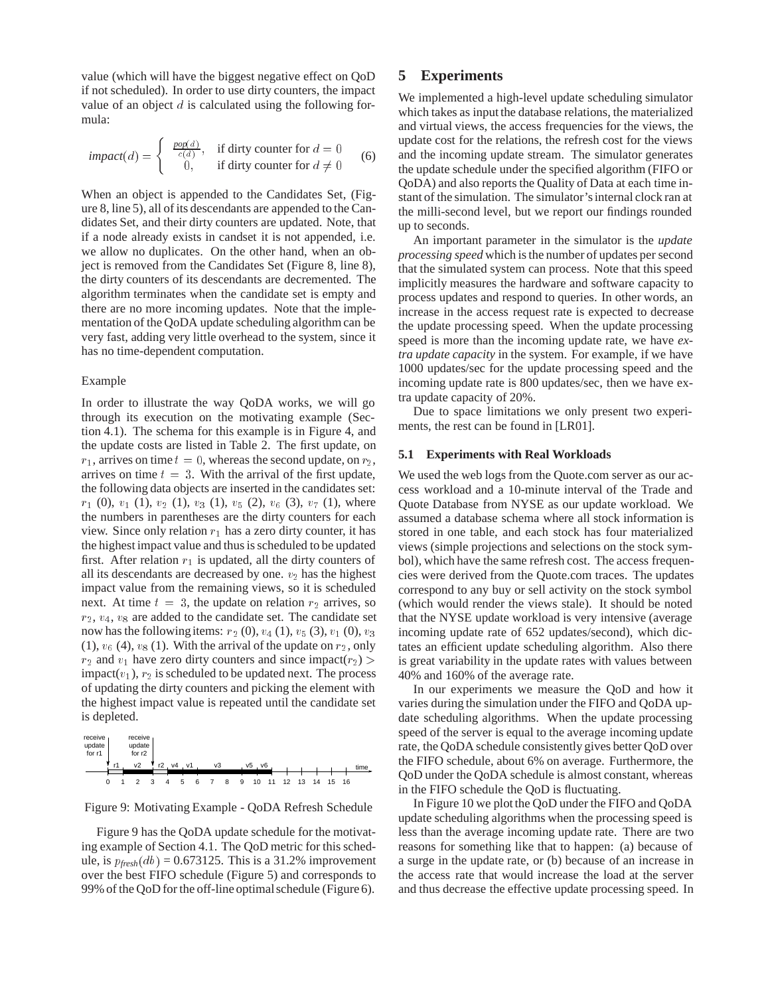value (which will have the biggest negative effect on QoD if not scheduled). In order to use dirty counters, the impact value of an object  $d$  is calculated using the following formula:

$$
impact(d) = \begin{cases} \frac{pop(d)}{c(d)}, & \text{if dirty counter for } d = 0\\ 0, & \text{if dirty counter for } d \neq 0 \end{cases}
$$
 (6)

When an object is appended to the Candidates Set, (Figure 8, line 5), all of its descendants are appended to the Candidates Set, and their dirty counters are updated. Note, that if a node already exists in candset it is not appended, i.e. we allow no duplicates. On the other hand, when an object is removed from the Candidates Set (Figure 8, line 8), the dirty counters of its descendants are decremented. The algorithm terminates when the candidate set is empty and there are no more incoming updates. Note that the implementation of the QoDA update scheduling algorithm can be very fast, adding very little overhead to the system, since it has no time-dependent computation.

### Example

In order to illustrate the way QoDA works, we will go through its execution on the motivating example (Section 4.1). The schema for this example is in Figure 4, and the update costs are listed in Table 2. The first update, on  $r_1$ , arrives on time  $t = 0$ , whereas the second update, on  $r_2$ , arrives on time  $t = 3$ . With the arrival of the first update, the following data objects are inserted in the candidates set:  $r_1$  (0),  $v_1$  (1),  $v_2$  (1),  $v_3$  (1),  $v_5$  (2),  $v_6$  (3),  $v_7$  (1), where the numbers in parentheses are the dirty counters for each view. Since only relation  $r_1$  has a zero dirty counter, it has the highest impact value and thus is scheduled to be updated first. After relation  $r_1$  is updated, all the dirty counters of all its descendants are decreased by one.  $v_2$  has the highest impact value from the remaining views, so it is scheduled next. At time  $t = 3$ , the update on relation  $r_2$  arrives, so  $r_2$ ,  $v_4$ ,  $v_8$  are added to the candidate set. The candidate set now has the following items:  $r_2$  (0),  $v_4$  (1),  $v_5$  (3),  $v_1$  (0),  $v_3$  $(1), v_6$  (4),  $v_8$  (1). With the arrival of the update on  $r_2$ , only  $r_2$  and  $v_1$  have zero dirty counters and since impact( $r_2$ ) >  $impact(v_1), r_2$  is scheduled to be updated next. The process of updating the dirty counters and picking the element with the highest impact value is repeated until the candidate set is depleted.

r1 v2 v3 v5 v6 r2 v4 v1 receive update for r1 0 1 2 3 4 5 6 7 8 9 10 receive update for r2 11 time 12 13 14 15 16

Figure 9: Motivating Example - QoDA Refresh Schedule

Figure 9 has the QoDA update schedule for the motivating example of Section 4.1. The QoD metric for this schedule, is  $p_{\text{fresh}}(db) = 0.673125$ . This is a 31.2% improvement over the best FIFO schedule (Figure 5) and corresponds to 99% of the QoD for the off-line optimal schedule (Figure 6).

# **5 Experiments**

We implemented a high-level update scheduling simulator which takes as input the database relations, the materialized and virtual views, the access frequencies for the views, the update cost for the relations, the refresh cost for the views and the incoming update stream. The simulator generates the update schedule under the specified algorithm (FIFO or QoDA) and also reports the Quality of Data at each time instant of the simulation. The simulator's internal clock ran at the milli-second level, but we report our findings rounded up to seconds.

An important parameter in the simulator is the *update processing speed* which is the number of updates per second that the simulated system can process. Note that this speed implicitly measures the hardware and software capacity to process updates and respond to queries. In other words, an increase in the access request rate is expected to decrease the update processing speed. When the update processing speed is more than the incoming update rate, we have *extra update capacity* in the system. For example, if we have 1000 updates/sec for the update processing speed and the incoming update rate is 800 updates/sec, then we have extra update capacity of 20%.

Due to space limitations we only present two experiments, the rest can be found in [LR01].

## **5.1 Experiments with Real Workloads**

We used the web logs from the Quote.com server as our access workload and a 10-minute interval of the Trade and Quote Database from NYSE as our update workload. We assumed a database schema where all stock information is stored in one table, and each stock has four materialized views (simple projections and selections on the stock symbol), which have the same refresh cost. The access frequencies were derived from the Quote.com traces. The updates correspond to any buy or sell activity on the stock symbol (which would render the views stale). It should be noted that the NYSE update workload is very intensive (average incoming update rate of 652 updates/second), which dictates an efficient update scheduling algorithm. Also there is great variability in the update rates with values between 40% and 160% of the average rate.

In our experiments we measure the QoD and how it varies during the simulation under the FIFO and QoDA update scheduling algorithms. When the update processing speed of the server is equal to the average incoming update rate, the QoDA schedule consistently gives better QoD over the FIFO schedule, about 6% on average. Furthermore, the QoD under the QoDA schedule is almost constant, whereas in the FIFO schedule the QoD is fluctuating.

In Figure 10 we plot the QoD under the FIFO and QoDA update scheduling algorithms when the processing speed is less than the average incoming update rate. There are two reasons for something like that to happen: (a) because of a surge in the update rate, or (b) because of an increase in the access rate that would increase the load at the server and thus decrease the effective update processing speed. In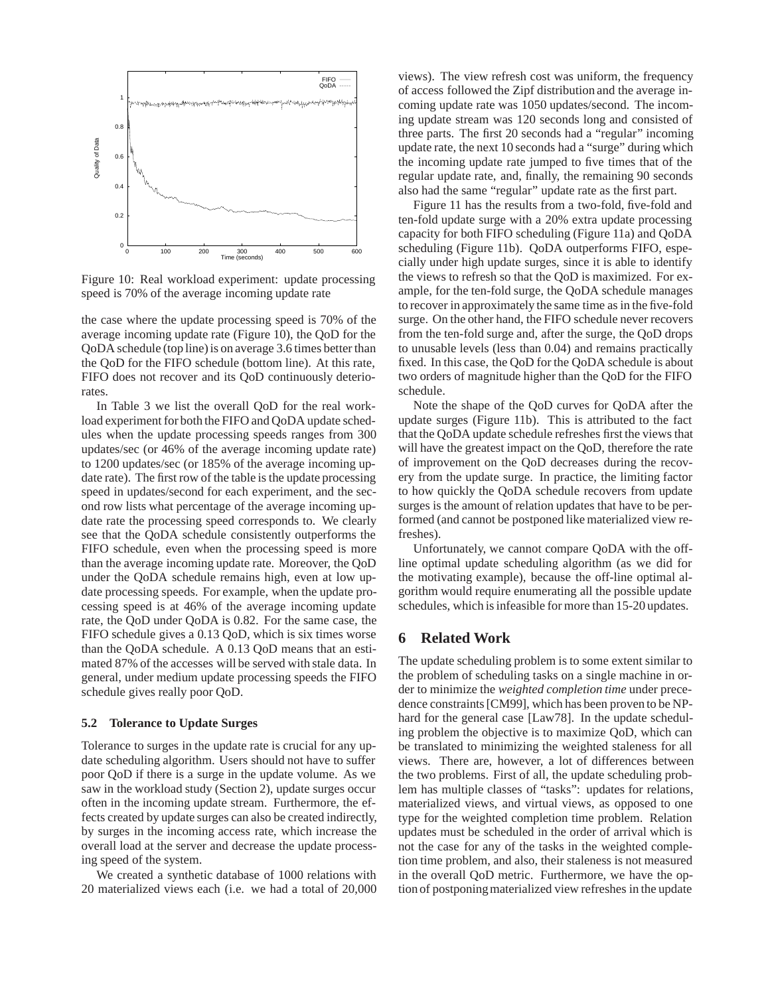

Figure 10: Real workload experiment: update processing speed is 70% of the average incoming update rate

the case where the update processing speed is 70% of the average incoming update rate (Figure 10), the QoD for the QoDA schedule (top line) is on average 3.6 times better than the QoD for the FIFO schedule (bottom line). At this rate, FIFO does not recover and its QoD continuously deteriorates.

In Table 3 we list the overall QoD for the real workload experiment for both the FIFO and QoDA update schedules when the update processing speeds ranges from 300 updates/sec (or 46% of the average incoming update rate) to 1200 updates/sec (or 185% of the average incoming update rate). The first row of the table is the update processing speed in updates/second for each experiment, and the second row lists what percentage of the average incoming update rate the processing speed corresponds to. We clearly see that the QoDA schedule consistently outperforms the FIFO schedule, even when the processing speed is more than the average incoming update rate. Moreover, the QoD under the QoDA schedule remains high, even at low update processing speeds. For example, when the update processing speed is at 46% of the average incoming update rate, the QoD under QoDA is 0.82. For the same case, the FIFO schedule gives a 0.13 QoD, which is six times worse than the QoDA schedule. A 0.13 QoD means that an estimated 87% of the accesses will be served with stale data. In general, under medium update processing speeds the FIFO schedule gives really poor QoD.

### **5.2 Tolerance to Update Surges**

Tolerance to surges in the update rate is crucial for any update scheduling algorithm. Users should not have to suffer poor QoD if there is a surge in the update volume. As we saw in the workload study (Section 2), update surges occur often in the incoming update stream. Furthermore, the effects created by update surges can also be created indirectly, by surges in the incoming access rate, which increase the overall load at the server and decrease the update processing speed of the system.

We created a synthetic database of 1000 relations with 20 materialized views each (i.e. we had a total of 20,000 views). The view refresh cost was uniform, the frequency of access followed the Zipf distribution and the average incoming update rate was 1050 updates/second. The incoming update stream was 120 seconds long and consisted of three parts. The first 20 seconds had a "regular" incoming update rate, the next 10 seconds had a "surge" during which the incoming update rate jumped to five times that of the regular update rate, and, finally, the remaining 90 seconds also had the same "regular" update rate as the first part.

Figure 11 has the results from a two-fold, five-fold and ten-fold update surge with a 20% extra update processing capacity for both FIFO scheduling (Figure 11a) and QoDA scheduling (Figure 11b). QoDA outperforms FIFO, especially under high update surges, since it is able to identify the views to refresh so that the QoD is maximized. For example, for the ten-fold surge, the QoDA schedule manages to recover in approximately the same time as in the five-fold surge. On the other hand, the FIFO schedule never recovers from the ten-fold surge and, after the surge, the QoD drops to unusable levels (less than 0.04) and remains practically fixed. In this case, the QoD for the QoDA schedule is about two orders of magnitude higher than the QoD for the FIFO schedule.

Note the shape of the QoD curves for QoDA after the update surges (Figure 11b). This is attributed to the fact that the QoDA update schedule refreshes first the views that will have the greatest impact on the QoD, therefore the rate of improvement on the QoD decreases during the recovery from the update surge. In practice, the limiting factor to how quickly the QoDA schedule recovers from update surges is the amount of relation updates that have to be performed (and cannot be postponed like materialized view refreshes).

Unfortunately, we cannot compare QoDA with the offline optimal update scheduling algorithm (as we did for the motivating example), because the off-line optimal algorithm would require enumerating all the possible update schedules, which is infeasible for more than 15-20 updates.

# **6 Related Work**

The update scheduling problem is to some extent similar to the problem of scheduling tasks on a single machine in order to minimize the *weighted completion time* under precedence constraints [CM99], which has been proven to be NPhard for the general case [Law78]. In the update scheduling problem the objective is to maximize QoD, which can be translated to minimizing the weighted staleness for all views. There are, however, a lot of differences between the two problems. First of all, the update scheduling problem has multiple classes of "tasks": updates for relations, materialized views, and virtual views, as opposed to one type for the weighted completion time problem. Relation updates must be scheduled in the order of arrival which is not the case for any of the tasks in the weighted completion time problem, and also, their staleness is not measured in the overall QoD metric. Furthermore, we have the option of postponingmaterialized view refreshes in the update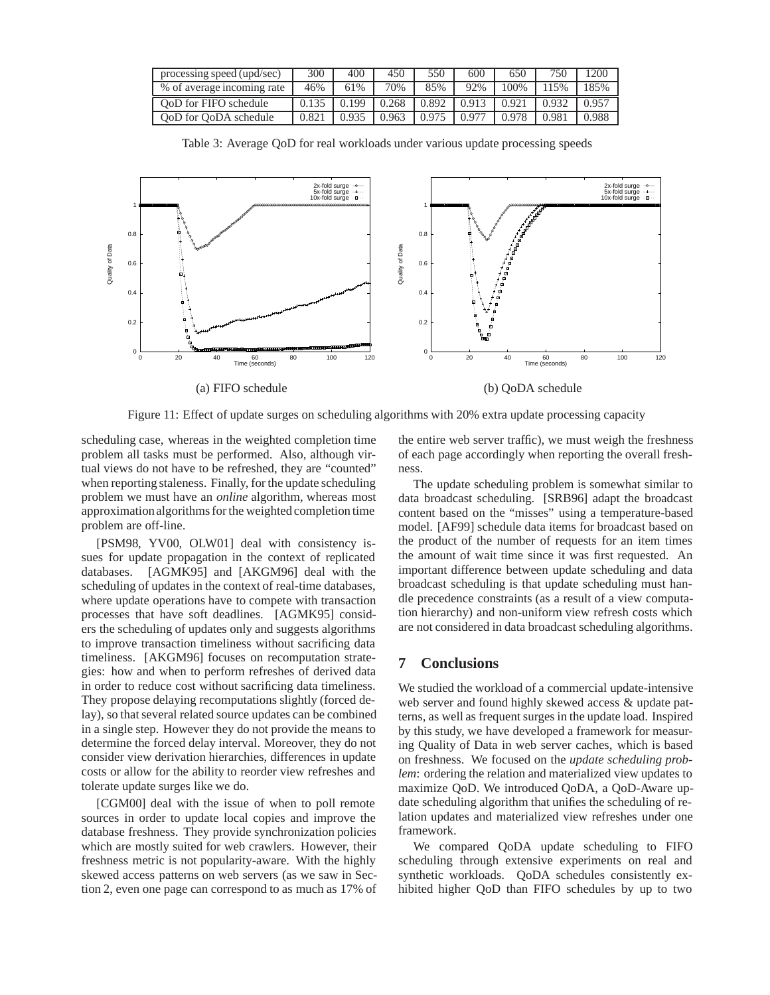| processing speed (upd/sec) | 300   | 400   | 450   | 550   | 600   | 650   | 750   | 1200  |
|----------------------------|-------|-------|-------|-------|-------|-------|-------|-------|
| % of average incoming rate | 46%   | 61%   | 70%   | 85%   | 92%   | 100%  | 115%  | 185%  |
|                            |       |       |       |       |       |       |       |       |
| OoD for FIFO schedule      | 0.135 | 0.199 | 0.268 | 0.892 | 0.913 | 0.921 | 0.932 | 0.957 |

Table 3: Average QoD for real workloads under various update processing speeds



Figure 11: Effect of update surges on scheduling algorithms with 20% extra update processing capacity

scheduling case, whereas in the weighted completion time problem all tasks must be performed. Also, although virtual views do not have to be refreshed, they are "counted" when reporting staleness. Finally, for the update scheduling problem we must have an *online* algorithm, whereas most approximationalgorithms for the weighted completion time problem are off-line.

[PSM98, YV00, OLW01] deal with consistency issues for update propagation in the context of replicated databases. [AGMK95] and [AKGM96] deal with the scheduling of updates in the context of real-time databases, where update operations have to compete with transaction processes that have soft deadlines. [AGMK95] considers the scheduling of updates only and suggests algorithms to improve transaction timeliness without sacrificing data timeliness. [AKGM96] focuses on recomputation strategies: how and when to perform refreshes of derived data in order to reduce cost without sacrificing data timeliness. They propose delaying recomputations slightly (forced delay), so that several related source updates can be combined in a single step. However they do not provide the means to determine the forced delay interval. Moreover, they do not consider view derivation hierarchies, differences in update costs or allow for the ability to reorder view refreshes and tolerate update surges like we do.

[CGM00] deal with the issue of when to poll remote sources in order to update local copies and improve the database freshness. They provide synchronization policies which are mostly suited for web crawlers. However, their freshness metric is not popularity-aware. With the highly skewed access patterns on web servers (as we saw in Section 2, even one page can correspond to as much as 17% of the entire web server traffic), we must weigh the freshness of each page accordingly when reporting the overall freshness.

The update scheduling problem is somewhat similar to data broadcast scheduling. [SRB96] adapt the broadcast content based on the "misses" using a temperature-based model. [AF99] schedule data items for broadcast based on the product of the number of requests for an item times the amount of wait time since it was first requested. An important difference between update scheduling and data broadcast scheduling is that update scheduling must handle precedence constraints (as a result of a view computation hierarchy) and non-uniform view refresh costs which are not considered in data broadcast scheduling algorithms.

# **7 Conclusions**

We studied the workload of a commercial update-intensive web server and found highly skewed access & update patterns, as well as frequent surges in the update load. Inspired by this study, we have developed a framework for measuring Quality of Data in web server caches, which is based on freshness. We focused on the *update scheduling problem*: ordering the relation and materialized view updates to maximize QoD. We introduced QoDA, a QoD-Aware update scheduling algorithm that unifies the scheduling of relation updates and materialized view refreshes under one framework.

We compared QoDA update scheduling to FIFO scheduling through extensive experiments on real and synthetic workloads. QoDA schedules consistently exhibited higher QoD than FIFO schedules by up to two